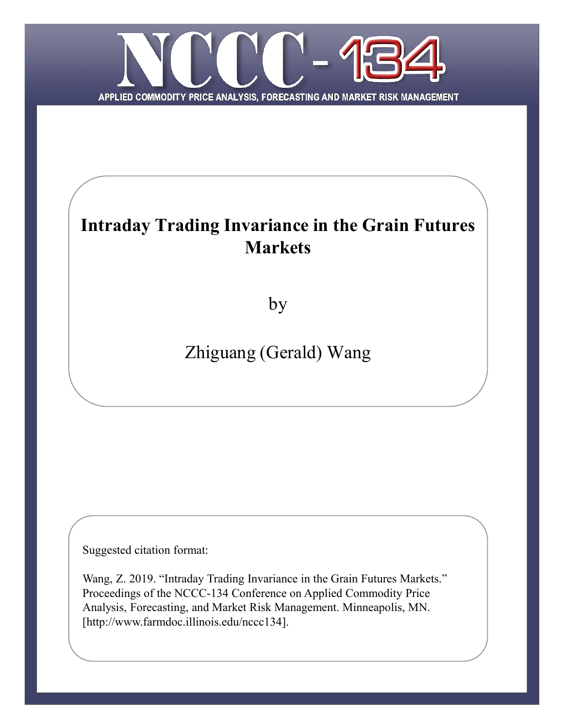

# **Intraday Trading Invariance in the Grain Futures Markets**

by

# Zhiguang (Gerald) Wang

Suggested citation format:

Wang, Z. 2019. "Intraday Trading Invariance in the Grain Futures Markets." Proceedings of the NCCC-134 Conference on Applied Commodity Price Analysis, Forecasting, and Market Risk Management. Minneapolis, MN. [http://www.farmdoc.illinois.edu/nccc134].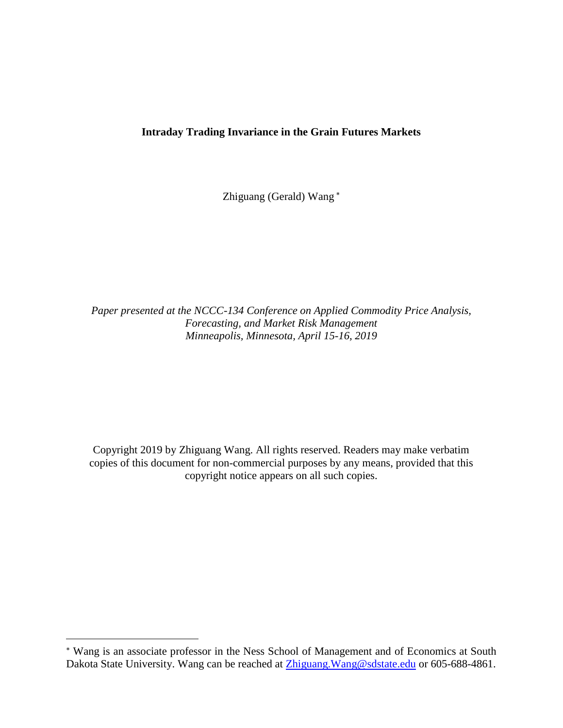## **Intraday Trading Invariance in the Grain Futures Markets**

Zhiguang (Gerald) Wang

*Paper presented at the NCCC-134 Conference on Applied Commodity Price Analysis, Forecasting, and Market Risk Management Minneapolis, Minnesota, April 15-16, 2019*

Copyright 2019 by Zhiguang Wang. All rights reserved. Readers may make verbatim copies of this document for non-commercial purposes by any means, provided that this copyright notice appears on all such copies.

 $\overline{a}$ 

Wang is an associate professor in the Ness School of Management and of Economics at South Dakota State University. Wang can be reached at Zhiguang. Wang@sdstate.edu or 605-688-4861.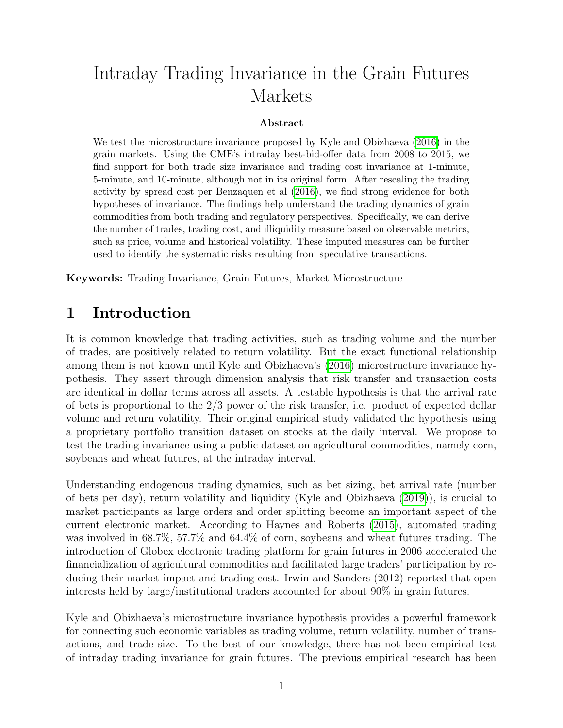# Intraday Trading Invariance in the Grain Futures Markets

### Abstract

We test the microstructure invariance proposed by Kyle and Obizhaeva (2016) in the grain markets. Using the CME's intraday best-bid-offer data from 2008 to 2015, we find support for both trade size invariance and trading cost invariance at 1-minute, 5-minute, and 10-minute, although not in its original form. After rescaling the trading activity by spread cost per Benzaquen et al (2016), we find strong evidence for both hypotheses of invariance. The findings help understand the trading dynamics of grain commodities from both trading and regulatory perspectives. Specifically, we can derive the number of trades, trading cost, and illiquidity measure based on observable metrics, such as price, volume and historical volatility. These imputed measures can be further used to identify the systematic risks resulting from speculative transactions.

Keywords: Trading Invariance, Grain Futures, Market Microstructure

# 1 Introduction

It is common knowledge that trading activities, such as trading volume and the number of trades, are positively related to return volatility. But the exact functional relationship among them is not known until Kyle and Obizhaeva's (2016) microstructure invariance hypothesis. They assert through dimension analysis that risk transfer and transaction costs are identical in dollar terms across all assets. A testable hypothesis is that the arrival rate of bets is proportional to the  $2/3$  power of the risk transfer, i.e. product of expected dollar volume and return volatility. Their original empirical study validated the hypothesis using a proprietary portfolio transition dataset on stocks at the daily interval. We propose to test the trading invariance using a public dataset on agricultural commodities, namely corn, soybeans and wheat futures, at the intraday interval.

Understanding endogenous trading dynamics, such as bet sizing, bet arrival rate (number of bets per day), return volatility and liquidity (Kyle and Obizhaeva (2019)), is crucial to market participants as large orders and order splitting become an important aspect of the current electronic market. According to Haynes and Roberts (2015), automated trading was involved in 68.7%, 57.7% and 64.4% of corn, soybeans and wheat futures trading. The introduction of Globex electronic trading platform for grain futures in 2006 accelerated the financialization of agricultural commodities and facilitated large traders' participation by reducing their market impact and trading cost. Irwin and Sanders (2012) reported that open interests held by large/institutional traders accounted for about 90% in grain futures.

Kyle and Obizhaeva's microstructure invariance hypothesis provides a powerful framework for connecting such economic variables as trading volume, return volatility, number of transactions, and trade size. To the best of our knowledge, there has not been empirical test of intraday trading invariance for grain futures. The previous empirical research has been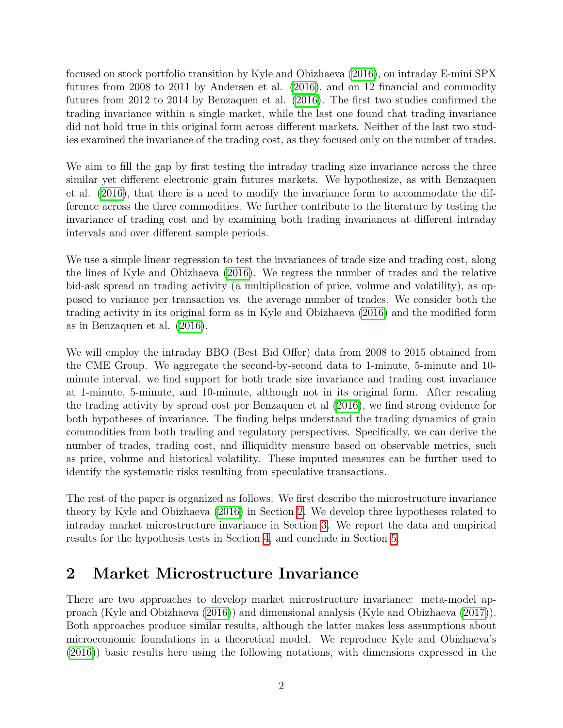focused on stock portfolio transition by Kyle and Obizhaeva (2016), on intraday E-mini SPX futures from 2008 to 2011 by Andersen et al.  $(2016)$ , and on 12 financial and commodity futures from 2012 to 2014 by Benzaquen et al. (2016). The first two studies confirmed the trading invariance within a single market, while the last one found that trading invariance did not hold true in this original form across different markets. Neither of the last two studies examined the invariance of the trading cost, as they focused only on the number of trades.

We aim to fill the gap by first testing the intraday trading size invariance across the three similar yet different electronic grain futures markets. We hypothesize, as with Benzaquen et al.  $(2016)$ , that there is a need to modify the invariance form to accommodate the difference across the three commodities. We further contribute to the literature by testing the invariance of trading cost and by examining both trading invariances at different intraday intervals and over different sample periods.

We use a simple linear regression to test the invariances of trade size and trading cost, along the lines of Kyle and Obizhaeva (2016). We regress the number of trades and the relative bid-ask spread on trading activity (a multiplication of price, volume and volatility), as opposed to variance per transaction vs. the average number of trades. We consider both the trading activity in its original form as in Kyle and Obizhaeva (2016) and the modified form as in Benzaquen et al.  $(2016)$ .

We will employ the intraday BBO (Best Bid Offer) data from 2008 to 2015 obtained from the CME Group. We aggregate the second-by-second data to 1-minute, 5-minute and 10 minute interval. we find support for both trade size invariance and trading cost invariance at 1-minute, 5-minute, and 10-minute, although not in its original form. After rescaling the trading activity by spread cost per Benzaquen et al (2016), we find strong evidence for both hypotheses of invariance. The finding helps understand the trading dynamics of grain commodities from both trading and regulatory perspectives. Specifically, we can derive the number of trades, trading cost, and illiquidity measure based on observable metrics, such as price, volume and historical volatility. These imputed measures can be further used to identify the systematic risks resulting from speculative transactions.

The rest of the paper is organized as follows. We first describe the microstructure invariance theory by Kyle and Obizhaeva  $(2016)$  in Section 2. We develop three hypotheses related to intraday market microstructure invariance in Section  $\beta$ . We report the data and empirical results for the hypothesis tests in Section  $4$ , and conclude in Section  $5$ .

# 2 Market Microstructure Invariance

There are two approaches to develop market microstructure invariance: meta-model approach (Kyle and Obizhaeva (2016)) and dimensional analysis (Kyle and Obizhaeva (2017)). Both approaches produce similar results, although the latter makes less assumptions about microeconomic foundations in a theoretical model. We reproduce Kyle and Obizhaeva's (2016)) basic results here using the following notations, with dimensions expressed in the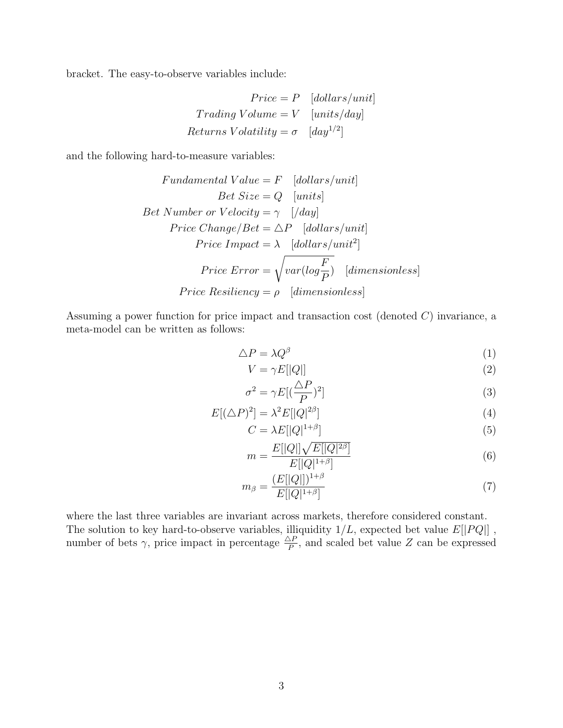bracket. The easy-to-observe variables include:

$$
Price = P \quad [dollars/unit]
$$
  
Trading Volume = V \quad [units/day]  
Returns Volatility =  $\sigma$  \quad [day<sup>1/2</sup>]

and the following hard-to-measure variables:

Fundamental Value = F [dollars/unit]

\nDet Size = Q [units]

\nBet Number or Velocity = 
$$
\gamma
$$
 [/day]

\nPrice Change/Beta =  $\Delta P$  [dollars/unit]

\nPrice Impact =  $\lambda$  [dollars/unit<sup>2</sup>]

\nPrice Error =  $\sqrt{var(log\frac{F}{P}}$  [dimensionless]

\nPrice Resiliency =  $\rho$  [dimensionless]

Assuming a power function for price impact and transaction cost (denoted C) invariance, a meta-model can be written as follows:

$$
\triangle P = \lambda Q^{\beta} \tag{1}
$$

$$
V = \gamma E[|Q|] \tag{2}
$$

$$
\sigma^2 = \gamma E[(\frac{\Delta P}{P})^2]
$$
\n(3)

$$
E[(\triangle P)^2] = \lambda^2 E[|Q|^{2\beta}] \tag{4}
$$

$$
C = \lambda E[|Q|^{1+\beta}] \tag{5}
$$

$$
m = \frac{E[|Q|]\sqrt{E[|Q|^{2\beta}]}}{E[|Q|^{1+\beta}]}
$$
\n(6)

$$
m_{\beta} = \frac{(E[|Q|])^{1+\beta}}{E[|Q|^{1+\beta}]}
$$
\n(7)

where the last three variables are invariant across markets, therefore considered constant. The solution to key hard-to-observe variables, illiquidity  $1/L$ , expected bet value  $E[|PQ|]$ , number of bets  $\gamma$ , price impact in percentage  $\frac{\Delta P}{P}$ , and scaled bet value Z can be expressed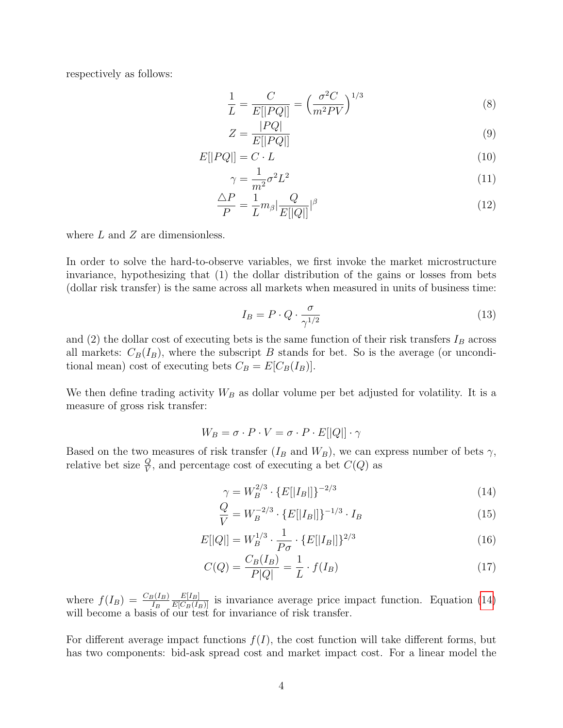respectively as follows:

$$
\frac{1}{L} = \frac{C}{E[|PQ|]} = \left(\frac{\sigma^2 C}{m^2 P V}\right)^{1/3} \tag{8}
$$

$$
Z = \frac{|PQ|}{E[|PQ|]}
$$
\n<sup>(9)</sup>

$$
E[|PQ|] = C \cdot L \tag{10}
$$

$$
\gamma = \frac{1}{m^2} \sigma^2 L^2 \tag{11}
$$

$$
\frac{\Delta P}{P} = \frac{1}{L} m_{\beta} \left| \frac{Q}{E[|Q|]} \right|^{\beta} \tag{12}
$$

where  $L$  and  $Z$  are dimensionless.

In order to solve the hard-to-observe variables, we first invoke the market microstructure invariance, hypothesizing that (1) the dollar distribution of the gains or losses from bets (dollar risk transfer) is the same across all markets when measured in units of business time:

$$
I_B = P \cdot Q \cdot \frac{\sigma}{\gamma^{1/2}}\tag{13}
$$

and (2) the dollar cost of executing bets is the same function of their risk transfers  $I_B$  across all markets:  $C_B(I_B)$ , where the subscript B stands for bet. So is the average (or unconditional mean) cost of executing bets  $C_B = E[C_B(I_B)].$ 

We then define trading activity  $W_B$  as dollar volume per bet adjusted for volatility. It is a measure of gross risk transfer:

$$
W_B = \sigma \cdot P \cdot V = \sigma \cdot P \cdot E[|Q|] \cdot \gamma
$$

Based on the two measures of risk transfer  $(I_B \text{ and } W_B)$ , we can express number of bets  $\gamma$ , relative bet size  $\frac{Q}{V}$ , and percentage cost of executing a bet  $C(Q)$  as

$$
\gamma = W_B^{2/3} \cdot \{ E[|I_B|] \}^{-2/3} \tag{14}
$$

$$
\frac{Q}{V} = W_B^{-2/3} \cdot \{ E[|I_B|] \}^{-1/3} \cdot I_B \tag{15}
$$

$$
E[|Q|] = W_B^{1/3} \cdot \frac{1}{P\sigma} \cdot \{E[|I_B|]\}^{2/3}
$$
\n(16)

$$
C(Q) = \frac{C_B(I_B)}{P|Q|} = \frac{1}{L} \cdot f(I_B)
$$
\n(17)

where  $f(I_B) = \frac{C_B(I_B)}{I_B}$  $\frac{E[I_B]}{E[C_B(I_B)]}$  is invariance average price impact function. Equation (14) will become a basis of our test for invariance of risk transfer.

For different average impact functions  $f(I)$ , the cost function will take different forms, but has two components: bid-ask spread cost and market impact cost. For a linear model the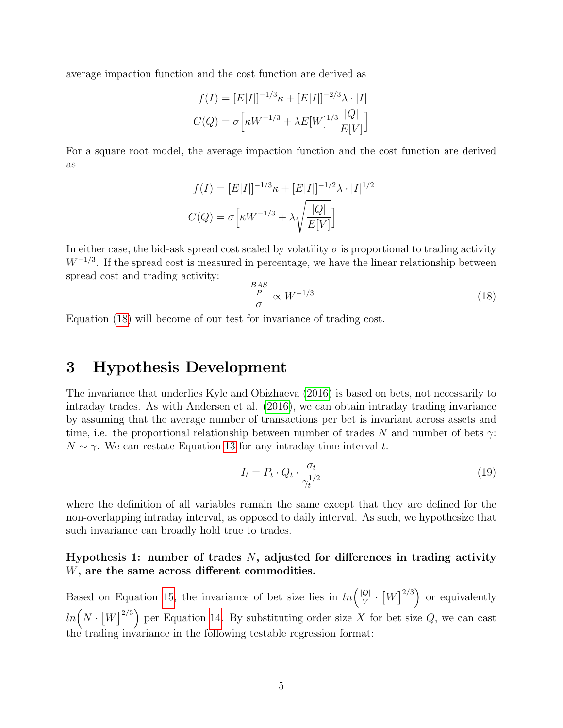average impaction function and the cost function are derived as

$$
f(I) = [E|I|]^{-1/3} \kappa + [E|I|]^{-2/3} \lambda \cdot |I|
$$

$$
C(Q) = \sigma \left[ \kappa W^{-1/3} + \lambda E[W]^{1/3} \frac{|Q|}{E[V]} \right]
$$

For a square root model, the average impaction function and the cost function are derived as

$$
f(I) = [E|I|]^{-1/3} \kappa + [E|I|]^{-1/2} \lambda \cdot |I|^{1/2}
$$

$$
C(Q) = \sigma \left[ \kappa W^{-1/3} + \lambda \sqrt{\frac{|Q|}{E[V]}} \right]
$$

In either case, the bid-ask spread cost scaled by volatility  $\sigma$  is proportional to trading activity  $W^{-1/3}$ . If the spread cost is measured in percentage, we have the linear relationship between spread cost and trading activity:

$$
\frac{BAS}{P} \propto W^{-1/3} \tag{18}
$$

Equation (18) will become of our test for invariance of trading cost.

# 3 Hypothesis Development

The invariance that underlies Kyle and Obizhaeva (2016) is based on bets, not necessarily to intraday trades. As with Andersen et al. (2016), we can obtain intraday trading invariance by assuming that the average number of transactions per bet is invariant across assets and time, i.e. the proportional relationship between number of trades N and number of bets  $\gamma$ :  $N \sim \gamma$ . We can restate Equation 13 for any intraday time interval t.

$$
I_t = P_t \cdot Q_t \cdot \frac{\sigma_t}{\gamma_t^{1/2}}
$$
\n
$$
\tag{19}
$$

where the definition of all variables remain the same except that they are defined for the non-overlapping intraday interval, as opposed to daily interval. As such, we hypothesize that such invariance can broadly hold true to trades.

## Hypothesis 1: number of trades  $N$ , adjusted for differences in trading activity W, are the same across different commodities.

Based on Equation 15, the invariance of bet size lies in  $ln\left(\frac{|Q|}{V}\right)$  $\frac{Q}{V} \cdot \left[W\right]^{2/3}$  or equivalently  $ln(N \cdot [W]^{2/3})$  per Equation 14. By substituting order size X for bet size Q, we can cast the trading invariance in the following testable regression format: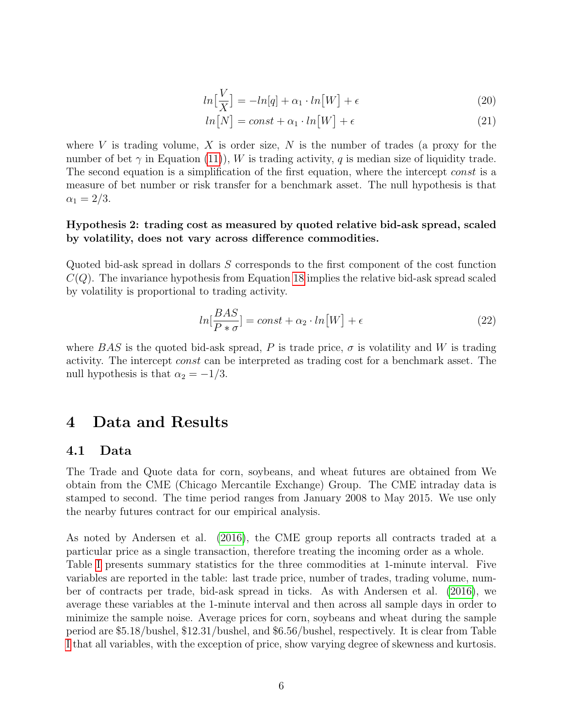$$
ln\left[\frac{V}{X}\right] = -ln[q] + \alpha_1 \cdot ln[W] + \epsilon \tag{20}
$$

$$
ln[N] = const + \alpha_1 \cdot ln[W] + \epsilon \tag{21}
$$

where V is trading volume, X is order size,  $N$  is the number of trades (a proxy for the number of bet  $\gamma$  in Equation (11)), W is trading activity, q is median size of liquidity trade. The second equation is a simplification of the first equation, where the intercept const is a measure of bet number or risk transfer for a benchmark asset. The null hypothesis is that  $\alpha_1 = 2/3.$ 

### Hypothesis 2: trading cost as measured by quoted relative bid-ask spread, scaled by volatility, does not vary across difference commodities.

Quoted bid-ask spread in dollars S corresponds to the first component of the cost function  $C(Q)$ . The invariance hypothesis from Equation 18 implies the relative bid-ask spread scaled by volatility is proportional to trading activity.

$$
ln[\frac{BAS}{P*\sigma}] = const + \alpha_2 \cdot ln[W] + \epsilon
$$
\n(22)

where BAS is the quoted bid-ask spread, P is trade price,  $\sigma$  is volatility and W is trading activity. The intercept const can be interpreted as trading cost for a benchmark asset. The null hypothesis is that  $\alpha_2 = -1/3$ .

# 4 Data and Results

### 4.1 Data

The Trade and Quote data for corn, soybeans, and wheat futures are obtained from We obtain from the CME (Chicago Mercantile Exchange) Group. The CME intraday data is stamped to second. The time period ranges from January 2008 to May 2015. We use only the nearby futures contract for our empirical analysis.

As noted by Andersen et al. (2016), the CME group reports all contracts traded at a particular price as a single transaction, therefore treating the incoming order as a whole. Table I presents summary statistics for the three commodities at 1-minute interval. Five variables are reported in the table: last trade price, number of trades, trading volume, number of contracts per trade, bid-ask spread in ticks. As with Andersen et al. (2016), we average these variables at the 1-minute interval and then across all sample days in order to minimize the sample noise. Average prices for corn, soybeans and wheat during the sample period are \$5.18/bushel, \$12.31/bushel, and \$6.56/bushel, respectively. It is clear from Table I that all variables, with the exception of price, show varying degree of skewness and kurtosis.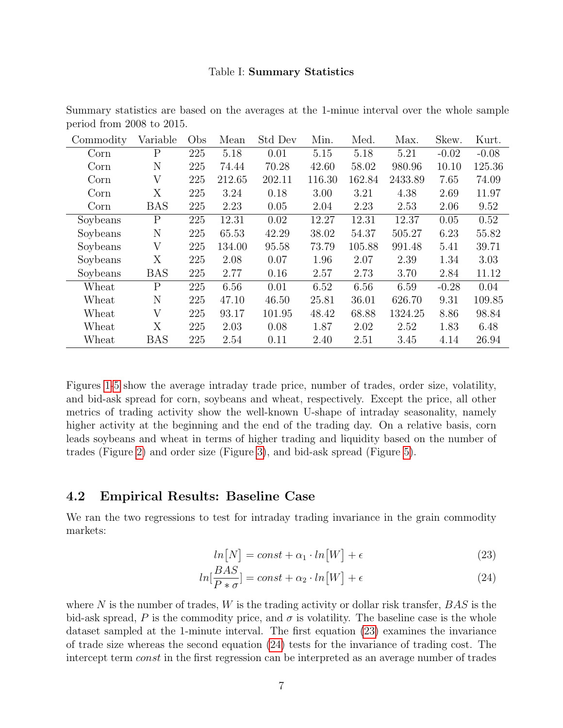#### Table I: Summary Statistics

| Commodity | Variable       | Obs | Mean   | Std Dev | Min.   | Med.   | Max.    | Skew.   | Kurt.   |
|-----------|----------------|-----|--------|---------|--------|--------|---------|---------|---------|
| Corn      | $\overline{P}$ | 225 | 5.18   | 0.01    | 5.15   | 5.18   | 5.21    | $-0.02$ | $-0.08$ |
| Corn      | N              | 225 | 74.44  | 70.28   | 42.60  | 58.02  | 980.96  | 10.10   | 125.36  |
| Corn      | V              | 225 | 212.65 | 202.11  | 116.30 | 162.84 | 2433.89 | 7.65    | 74.09   |
| Corn      | Х              | 225 | 3.24   | 0.18    | 3.00   | 3.21   | 4.38    | 2.69    | 11.97   |
| Corn      | <b>BAS</b>     | 225 | 2.23   | 0.05    | 2.04   | 2.23   | 2.53    | 2.06    | 9.52    |
| Soybeans  | $\rm P$        | 225 | 12.31  | 0.02    | 12.27  | 12.31  | 12.37   | 0.05    | 0.52    |
| Soybeans  | N              | 225 | 65.53  | 42.29   | 38.02  | 54.37  | 505.27  | 6.23    | 55.82   |
| Soybeans  | V              | 225 | 134.00 | 95.58   | 73.79  | 105.88 | 991.48  | 5.41    | 39.71   |
| Soybeans  | X              | 225 | 2.08   | 0.07    | 1.96   | 2.07   | 2.39    | 1.34    | 3.03    |
| Soybeans  | <b>BAS</b>     | 225 | 2.77   | 0.16    | 2.57   | 2.73   | 3.70    | 2.84    | 11.12   |
| Wheat     | P              | 225 | 6.56   | 0.01    | 6.52   | 6.56   | 6.59    | $-0.28$ | 0.04    |
| Wheat     | N              | 225 | 47.10  | 46.50   | 25.81  | 36.01  | 626.70  | 9.31    | 109.85  |
| Wheat     | V              | 225 | 93.17  | 101.95  | 48.42  | 68.88  | 1324.25 | 8.86    | 98.84   |
| Wheat     | X              | 225 | 2.03   | 0.08    | 1.87   | 2.02   | 2.52    | 1.83    | 6.48    |
| Wheat     | <b>BAS</b>     | 225 | 2.54   | 0.11    | 2.40   | 2.51   | 3.45    | 4.14    | 26.94   |

Summary statistics are based on the averages at the 1-minue interval over the whole sample period from 2008 to 2015.

Figures 1-5 show the average intraday trade price, number of trades, order size, volatility, and bid-ask spread for corn, soybeans and wheat, respectively. Except the price, all other metrics of trading activity show the well-known U-shape of intraday seasonality, namely higher activity at the beginning and the end of the trading day. On a relative basis, corn leads soybeans and wheat in terms of higher trading and liquidity based on the number of trades (Figure 2) and order size (Figure 3), and bid-ask spread (Figure 5).

### 4.2 Empirical Results: Baseline Case

We ran the two regressions to test for intraday trading invariance in the grain commodity markets:

$$
ln[N] = const + \alpha_1 \cdot ln[W] + \epsilon \tag{23}
$$

$$
ln[\frac{BAS}{P * \sigma}] = const + \alpha_2 \cdot ln[W] + \epsilon
$$
\n(24)

where N is the number of trades,  $W$  is the trading activity or dollar risk transfer,  $BAS$  is the bid-ask spread, P is the commodity price, and  $\sigma$  is volatility. The baseline case is the whole dataset sampled at the 1-minute interval. The first equation (23) examines the invariance of trade size whereas the second equation (24) tests for the invariance of trading cost. The intercept term const in the first regression can be interpreted as an average number of trades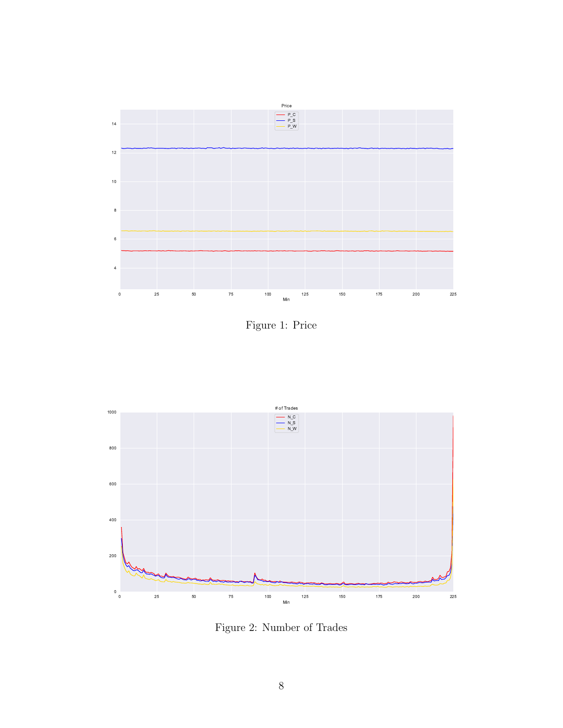

Figure 1: Price



Figure 2: Number of Trades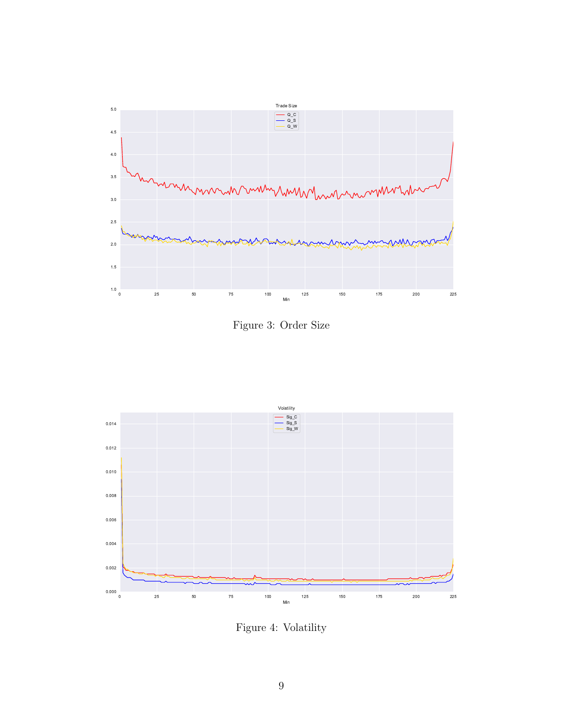

Figure 3: Order Size



Figure 4: Volatility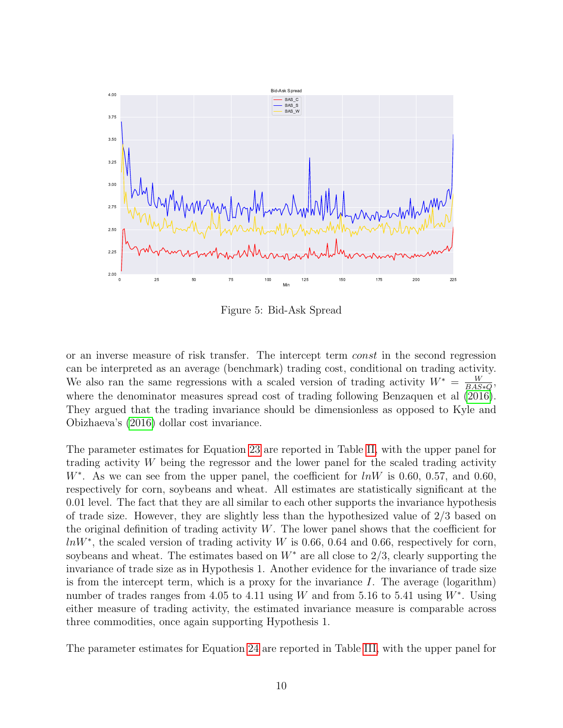

Figure 5: Bid-Ask Spread

or an inverse measure of risk transfer. The intercept term const in the second regression can be interpreted as an average (benchmark) trading cost, conditional on trading activity. We also ran the same regressions with a scaled version of trading activity  $W^* = \frac{W}{BAS}$  $\frac{W}{BAS*Q}$ where the denominator measures spread cost of trading following Benzaquen et al  $(2016)$ . They argued that the trading invariance should be dimensionless as opposed to Kyle and Obizhaeva's (2016) dollar cost invariance.

The parameter estimates for Equation 23 are reported in Table II, with the upper panel for trading activity W being the regressor and the lower panel for the scaled trading activity  $W^*$ . As we can see from the upper panel, the coefficient for  $lnW$  is 0.60, 0.57, and 0.60, respectively for corn, soybeans and wheat. All estimates are statistically significant at the 0.01 level. The fact that they are all similar to each other supports the invariance hypothesis of trade size. However, they are slightly less than the hypothesized value of 2/3 based on the original definition of trading activity  $W$ . The lower panel shows that the coefficient for  $lnW^*$ , the scaled version of trading activity W is 0.66, 0.64 and 0.66, respectively for corn, soybeans and wheat. The estimates based on  $W^*$  are all close to 2/3, clearly supporting the invariance of trade size as in Hypothesis 1. Another evidence for the invariance of trade size is from the intercept term, which is a proxy for the invariance  $I$ . The average (logarithm) number of trades ranges from 4.05 to 4.11 using W and from 5.16 to 5.41 using  $W^*$ . Using either measure of trading activity, the estimated invariance measure is comparable across three commodities, once again supporting Hypothesis 1.

The parameter estimates for Equation 24 are reported in Table III, with the upper panel for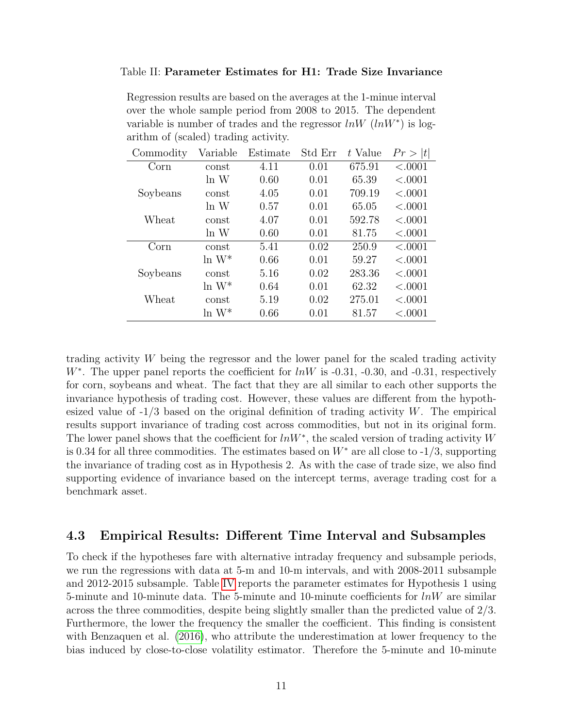#### Table II: Parameter Estimates for H1: Trade Size Invariance

Regression results are based on the averages at the 1-minue interval over the whole sample period from 2008 to 2015. The dependent variable is number of trades and the regressor  $ln W$   $(lnW^*)$  is logarithm of (scaled) trading activity.

| Commodity | Variable             | Estimate | Std Err | t Value | Pr >  t |
|-----------|----------------------|----------|---------|---------|---------|
| Corn      | const                | 4.11     | 0.01    | 675.91  | < .0001 |
|           | ln W                 | 0.60     | 0.01    | 65.39   | < .0001 |
| Soybeans  | const                | 4.05     | 0.01    | 709.19  | < .0001 |
|           | ln W                 | 0.57     | 0.01    | 65.05   | < .0001 |
| Wheat     | const                | 4.07     | 0.01    | 592.78  | < .0001 |
|           | ln W                 | 0.60     | 0.01    | 81.75   | < .0001 |
| Corn      | const                | 5.41     | 0.02    | 250.9   | < .0001 |
|           | $\ln\, \mathrm{W}^*$ | 0.66     | 0.01    | 59.27   | < .0001 |
| Soybeans  | const                | 5.16     | 0.02    | 283.36  | < .0001 |
|           | $\ln W^*$            | 0.64     | 0.01    | 62.32   | < .0001 |
| Wheat     | const                | 5.19     | 0.02    | 275.01  | < .0001 |
|           | $\ln W^*$            | 0.66     | 0.01    | 81.57   | < .0001 |

trading activity W being the regressor and the lower panel for the scaled trading activity W<sup>\*</sup>. The upper panel reports the coefficient for  $lnW$  is -0.31, -0.30, and -0.31, respectively for corn, soybeans and wheat. The fact that they are all similar to each other supports the invariance hypothesis of trading cost. However, these values are different from the hypothesized value of  $-1/3$  based on the original definition of trading activity W. The empirical results support invariance of trading cost across commodities, but not in its original form. The lower panel shows that the coefficient for  $lnW^*$ , the scaled version of trading activity W is 0.34 for all three commodities. The estimates based on  $W^*$  are all close to -1/3, supporting the invariance of trading cost as in Hypothesis 2. As with the case of trade size, we also find supporting evidence of invariance based on the intercept terms, average trading cost for a benchmark asset.

# 4.3 Empirical Results: Different Time Interval and Subsamples

To check if the hypotheses fare with alternative intraday frequency and subsample periods, we run the regressions with data at 5-m and 10-m intervals, and with 2008-2011 subsample and 2012-2015 subsample. Table IV reports the parameter estimates for Hypothesis 1 using 5-minute and 10-minute data. The 5-minute and 10-minute coefficients for  $lnW$  are similar across the three commodities, despite being slightly smaller than the predicted value of 2/3. Furthermore, the lower the frequency the smaller the coefficient. This finding is consistent with Benzaquen et al. (2016), who attribute the underestimation at lower frequency to the bias induced by close-to-close volatility estimator. Therefore the 5-minute and 10-minute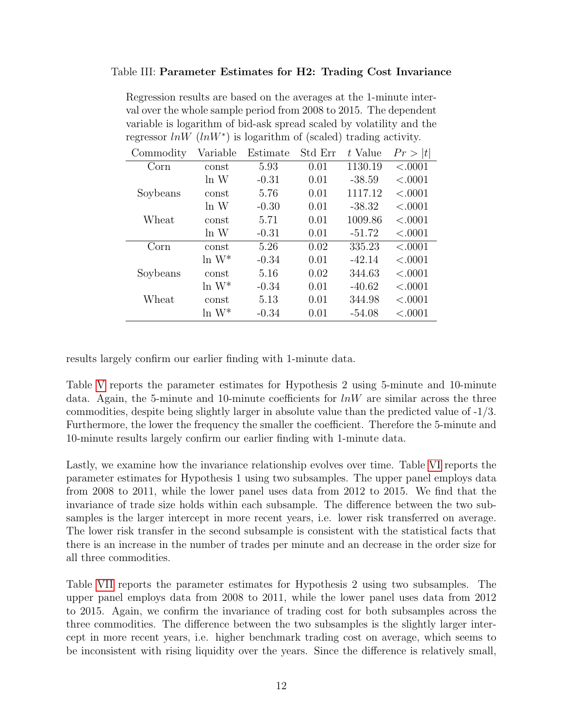### Table III: Parameter Estimates for H2: Trading Cost Invariance

Regression results are based on the averages at the 1-minute interval over the whole sample period from 2008 to 2015. The dependent variable is logarithm of bid-ask spread scaled by volatility and the regressor  $ln W$  ( $ln W^*$ ) is logarithm of (scaled) trading activity.

| Commodity | Variable  | Estimate | Std Err | t Value  | Pr >  t |
|-----------|-----------|----------|---------|----------|---------|
| Corn      | const     | 5.93     | 0.01    | 1130.19  | < .0001 |
|           | ln W      | $-0.31$  | 0.01    | $-38.59$ | < .0001 |
| Soybeans  | const     | 5.76     | 0.01    | 1117.12  | < .0001 |
|           | ln W      | $-0.30$  | 0.01    | $-38.32$ | < .0001 |
| Wheat     | const     | 5.71     | 0.01    | 1009.86  | < .0001 |
|           | ln W      | $-0.31$  | 0.01    | $-51.72$ | < .0001 |
| Corn      | const     | 5.26     | 0.02    | 335.23   | < .0001 |
|           | $\ln W^*$ | $-0.34$  | 0.01    | $-42.14$ | < .0001 |
| Soybeans  | const     | 5.16     | 0.02    | 344.63   | < .0001 |
|           | $\ln W^*$ | $-0.34$  | 0.01    | $-40.62$ | < .0001 |
| Wheat     | const     | 5.13     | 0.01    | 344.98   | < .0001 |
|           | $\ln W^*$ | $-0.34$  | 0.01    | $-54.08$ | < .0001 |

results largely confirm our earlier finding with 1-minute data.

Table V reports the parameter estimates for Hypothesis 2 using 5-minute and 10-minute data. Again, the 5-minute and 10-minute coefficients for  $lnW$  are similar across the three commodities, despite being slightly larger in absolute value than the predicted value of -1/3. Furthermore, the lower the frequency the smaller the coefficient. Therefore the 5-minute and 10-minute results largely confirm our earlier finding with 1-minute data.

Lastly, we examine how the invariance relationship evolves over time. Table VI reports the parameter estimates for Hypothesis 1 using two subsamples. The upper panel employs data from 2008 to 2011, while the lower panel uses data from 2012 to 2015. We find that the invariance of trade size holds within each subsample. The difference between the two subsamples is the larger intercept in more recent years, i.e. lower risk transferred on average. The lower risk transfer in the second subsample is consistent with the statistical facts that there is an increase in the number of trades per minute and an decrease in the order size for all three commodities.

Table VII reports the parameter estimates for Hypothesis 2 using two subsamples. The upper panel employs data from 2008 to 2011, while the lower panel uses data from 2012 to 2015. Again, we confirm the invariance of trading cost for both subsamples across the three commodities. The difference between the two subsamples is the slightly larger intercept in more recent years, i.e. higher benchmark trading cost on average, which seems to be inconsistent with rising liquidity over the years. Since the difference is relatively small,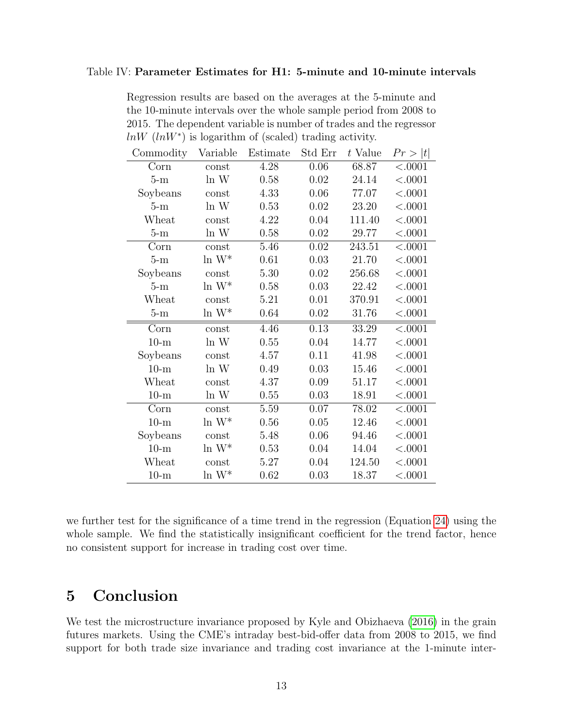#### Table IV: Parameter Estimates for H1: 5-minute and 10-minute intervals

Regression results are based on the averages at the 5-minute and the 10-minute intervals over the whole sample period from 2008 to 2015. The dependent variable is number of trades and the regressor  $ln W$  ( $ln W^*$ ) is logarithm of (scaled) trading activity.

| Commodity | Variable             | Estimate | Std Err | t Value | Pr >  t  |
|-----------|----------------------|----------|---------|---------|----------|
| Corn      | const                | 4.28     | 0.06    | 68.87   | < .0001  |
| $5-m$     | ln W                 | 0.58     | 0.02    | 24.14   | < .0001  |
| Soybeans  | const                | 4.33     | 0.06    | 77.07   | < .0001  |
| $5-m$     | ln W                 | 0.53     | 0.02    | 23.20   | < .0001  |
| Wheat     | const                | 4.22     | 0.04    | 111.40  | < .0001  |
| $5-m$     | ln W                 | 0.58     | 0.02    | 29.77   | < .0001  |
| Corn      | const                | 5.46     | 0.02    | 243.51  | < .0001  |
| $5-m$     | $\ln W^*$            | 0.61     | 0.03    | 21.70   | < .0001  |
| Soybeans  | const                | 5.30     | 0.02    | 256.68  | < .0001  |
| $5-m$     | $\ln\, \mathrm{W}^*$ | 0.58     | 0.03    | 22.42   | < .0001  |
| Wheat     | const                | 5.21     | 0.01    | 370.91  | < .0001  |
| $5-m$     | $\ln W^*$            | 0.64     | 0.02    | 31.76   | < .0001  |
| Corn      | const                | 4.46     | 0.13    | 33.29   | < .0001  |
| $10-m$    | ln W                 | 0.55     | 0.04    | 14.77   | < .0001  |
| Soybeans  | const                | 4.57     | 0.11    | 41.98   | < .0001  |
| $10-m$    | ln W                 | 0.49     | 0.03    | 15.46   | < .0001  |
| Wheat     | const                | 4.37     | 0.09    | 51.17   | < .0001  |
| $10-m$    | ln W                 | 0.55     | 0.03    | 18.91   | < .0001  |
| Corn      | const                | 5.59     | 0.07    | 78.02   | < .0001  |
| $10-m$    | $\ln W^*$            | 0.56     | 0.05    | 12.46   | < .0001  |
| Soybeans  | const                | 5.48     | 0.06    | 94.46   | < .0001  |
| $10-m$    | $\ln W^*$            | 0.53     | 0.04    | 14.04   | < .0001  |
| Wheat     | const                | 5.27     | 0.04    | 124.50  | $<.0001$ |
| $10-m$    | $\ln W^*$            | 0.62     | 0.03    | 18.37   | < .0001  |

we further test for the significance of a time trend in the regression (Equation 24) using the whole sample. We find the statistically insignificant coefficient for the trend factor, hence no consistent support for increase in trading cost over time.

# 5 Conclusion

We test the microstructure invariance proposed by Kyle and Obizhaeva (2016) in the grain futures markets. Using the CME's intraday best-bid-offer data from 2008 to 2015, we find support for both trade size invariance and trading cost invariance at the 1-minute inter-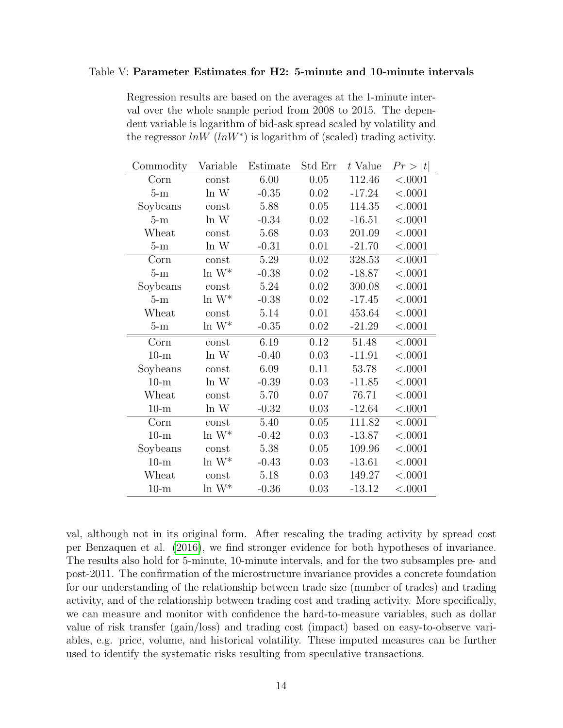#### Table V: Parameter Estimates for H2: 5-minute and 10-minute intervals

Regression results are based on the averages at the 1-minute interval over the whole sample period from 2008 to 2015. The dependent variable is logarithm of bid-ask spread scaled by volatility and the regressor  $ln W$  ( $ln W^*$ ) is logarithm of (scaled) trading activity.

| Commodity | Variable             | Estimate | Std Err  | t Value  | Pr >  t |
|-----------|----------------------|----------|----------|----------|---------|
| Corn      | const                | 6.00     | 0.05     | 112.46   | < .0001 |
| $5-m$     | ln W                 | $-0.35$  | 0.02     | $-17.24$ | < .0001 |
| Soybeans  | const                | 5.88     | 0.05     | 114.35   | < .0001 |
| $5-m$     | ln W                 | $-0.34$  | 0.02     | $-16.51$ | < .0001 |
| Wheat     | const                | 5.68     | 0.03     | 201.09   | < .0001 |
| $5-m$     | ln W                 | $-0.31$  | 0.01     | $-21.70$ | < .0001 |
| Corn      | const                | 5.29     | $0.02\,$ | 328.53   | < .0001 |
| $5-m$     | $\ln\, \mathrm{W}^*$ | $-0.38$  | 0.02     | $-18.87$ | < .0001 |
| Soybeans  | const                | 5.24     | 0.02     | 300.08   | < .0001 |
| $5-m$     | $\ln\, \mathrm{W}^*$ | $-0.38$  | 0.02     | $-17.45$ | < .0001 |
| Wheat     | const                | 5.14     | 0.01     | 453.64   | < .0001 |
| $5-m$     | $\ln W^*$            | $-0.35$  | 0.02     | $-21.29$ | < .0001 |
| Corn      | const                | 6.19     | 0.12     | 51.48    | < .0001 |
| $10-m$    | ln W                 | $-0.40$  | 0.03     | $-11.91$ | < .0001 |
| Soybeans  | const                | 6.09     | 0.11     | 53.78    | < .0001 |
| $10-m$    | ln W                 | $-0.39$  | 0.03     | $-11.85$ | < .0001 |
| Wheat     | const                | 5.70     | 0.07     | 76.71    | < .0001 |
| $10-m$    | ln W                 | $-0.32$  | 0.03     | $-12.64$ | < .0001 |
| Corn      | const                | 5.40     | 0.05     | 111.82   | < .0001 |
| $10-m$    | $\ln W^*$            | $-0.42$  | 0.03     | $-13.87$ | < .0001 |
| Soybeans  | const                | 5.38     | 0.05     | 109.96   | < .0001 |
| $10-m$    | $\ln W^*$            | $-0.43$  | 0.03     | $-13.61$ | < .0001 |
| Wheat     | const                | 5.18     | 0.03     | 149.27   | < .0001 |
| $10-m$    | $\ln W^*$            | $-0.36$  | 0.03     | $-13.12$ | < .0001 |

val, although not in its original form. After rescaling the trading activity by spread cost per Benzaquen et al. (2016), we find stronger evidence for both hypotheses of invariance. The results also hold for 5-minute, 10-minute intervals, and for the two subsamples pre- and post-2011. The confirmation of the microstructure invariance provides a concrete foundation for our understanding of the relationship between trade size (number of trades) and trading activity, and of the relationship between trading cost and trading activity. More specifically, we can measure and monitor with confidence the hard-to-measure variables, such as dollar value of risk transfer (gain/loss) and trading cost (impact) based on easy-to-observe variables, e.g. price, volume, and historical volatility. These imputed measures can be further used to identify the systematic risks resulting from speculative transactions.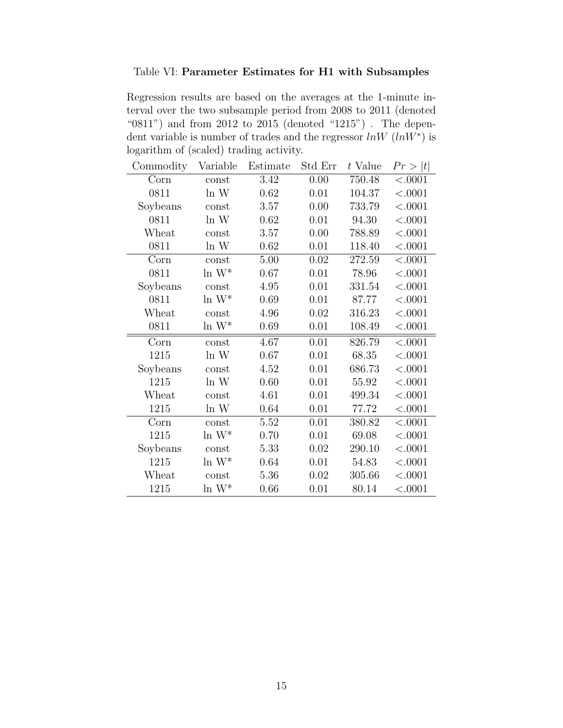## Table VI: Parameter Estimates for H1 with Subsamples

Regression results are based on the averages at the 1-minute interval over the two subsample period from 2008 to 2011 (denoted "0811") and from 2012 to 2015 (denoted "1215") . The dependent variable is number of trades and the regressor  $ln W$   $(lnW^*)$  is logarithm of (scaled) trading activity.

| Commodity | Variable             | Estimate | Std Err | t Value | Pr >  t  |
|-----------|----------------------|----------|---------|---------|----------|
| Corn      | const                | 3.42     | 0.00    | 750.48  | < .0001  |
| 0811      | ln W                 | 0.62     | 0.01    | 104.37  | < .0001  |
| Soybeans  | const                | 3.57     | 0.00    | 733.79  | $<.0001$ |
| 0811      | ln W                 | 0.62     | 0.01    | 94.30   | < .0001  |
| Wheat     | const                | 3.57     | 0.00    | 788.89  | $<.0001$ |
| 0811      | ln W                 | 0.62     | 0.01    | 118.40  | < .0001  |
| Corn      | const                | 5.00     | 0.02    | 272.59  | < .0001  |
| 0811      | $\ln W^*$            | 0.67     | 0.01    | 78.96   | < .0001  |
| Soybeans  | const                | 4.95     | 0.01    | 331.54  | < .0001  |
| 0811      | $\ln W^*$            | 0.69     | 0.01    | 87.77   | < .0001  |
| Wheat     | const                | 4.96     | 0.02    | 316.23  | < .0001  |
| 0811      | $\ln\, \mathrm{W}^*$ | 0.69     | 0.01    | 108.49  | < .0001  |
| Corn      | const                | 4.67     | 0.01    | 826.79  | < .0001  |
| 1215      | ln W                 | 0.67     | 0.01    | 68.35   | $<.0001$ |
| Soybeans  | const                | 4.52     | 0.01    | 686.73  | < .0001  |
| 1215      | ln W                 | 0.60     | 0.01    | 55.92   | < .0001  |
| Wheat     | const                | 4.61     | 0.01    | 499.34  | < .0001  |
| 1215      | ln W                 | 0.64     | 0.01    | 77.72   | < .0001  |
| Corn      | const                | 5.52     | 0.01    | 380.82  | < .0001  |
| 1215      | $\ln W^*$            | 0.70     | 0.01    | 69.08   | < .0001  |
| Soybeans  | const                | 5.33     | 0.02    | 290.10  | < .0001  |
| 1215      | $\ln\, \mathrm{W}^*$ | 0.64     | 0.01    | 54.83   | < .0001  |
| Wheat     | const                | 5.36     | 0.02    | 305.66  | < .0001  |
| 1215      | $\ln\, \mathrm{W}^*$ | 0.66     | 0.01    | 80.14   | < .0001  |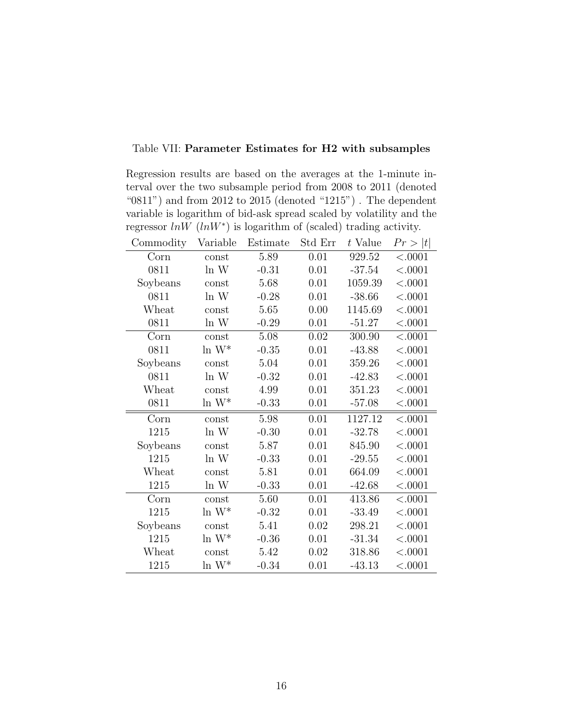## Table VII: Parameter Estimates for H2 with subsamples

Regression results are based on the averages at the 1-minute interval over the two subsample period from 2008 to 2011 (denoted "0811") and from 2012 to 2015 (denoted "1215"). The dependent variable is logarithm of bid-ask spread scaled by volatility and the regressor  $ln W$  ( $ln W^*$ ) is logarithm of (scaled) trading activity.

| Commodity | Variable  | Estimate | Std Err | t Value  | Pr >  t  |
|-----------|-----------|----------|---------|----------|----------|
| Corn      | const     | 5.89     | 0.01    | 929.52   | < .0001  |
| 0811      | ln W      | $-0.31$  | 0.01    | $-37.54$ | $<.0001$ |
| Soybeans  | const     | 5.68     | 0.01    | 1059.39  | < .0001  |
| 0811      | ln W      | $-0.28$  | 0.01    | $-38.66$ | < .0001  |
| Wheat     | const     | 5.65     | 0.00    | 1145.69  | < .0001  |
| 0811      | ln W      | $-0.29$  | 0.01    | $-51.27$ | < .0001  |
| Corn      | const     | 5.08     | 0.02    | 300.90   | < .0001  |
| 0811      | $\ln W^*$ | $-0.35$  | 0.01    | $-43.88$ | < .0001  |
| Soybeans  | const     | 5.04     | 0.01    | 359.26   | < .0001  |
| 0811      | ln W      | $-0.32$  | 0.01    | $-42.83$ | < .0001  |
| Wheat     | const     | 4.99     | 0.01    | 351.23   | < .0001  |
| 0811      | $\ln W^*$ | $-0.33$  | 0.01    | $-57.08$ | < .0001  |
| Corn      | const     | 5.98     | 0.01    | 1127.12  | < .0001  |
| 1215      | ln W      | $-0.30$  | 0.01    | $-32.78$ | < .0001  |
| Soybeans  | const     | 5.87     | 0.01    | 845.90   | < .0001  |
| 1215      | ln W      | $-0.33$  | 0.01    | $-29.55$ | < .0001  |
| Wheat     | const     | 5.81     | 0.01    | 664.09   | < .0001  |
| 1215      | ln W      | $-0.33$  | 0.01    | $-42.68$ | < .0001  |
| Corn      | const     | 5.60     | 0.01    | 413.86   | < .0001  |
| 1215      | $\ln W^*$ | $-0.32$  | 0.01    | $-33.49$ | < .0001  |
| Soybeans  | const     | 5.41     | 0.02    | 298.21   | < .0001  |
| 1215      | $\ln W^*$ | $-0.36$  | 0.01    | $-31.34$ | < .0001  |
| Wheat     | const     | 5.42     | 0.02    | 318.86   | < .0001  |
| 1215      | $\ln W^*$ | $-0.34$  | 0.01    | $-43.13$ | < .0001  |